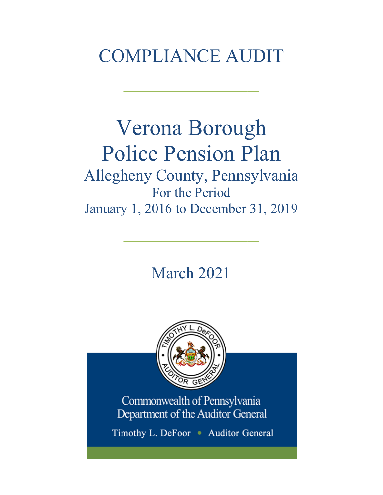# COMPLIANCE AUDIT

 $\frac{1}{2}$ 

## Verona Borough Police Pension Plan Allegheny County, Pennsylvania For the Period January 1, 2016 to December 31, 2019

March 2021

 $\frac{1}{2}$ 



Commonwealth of Pennsylvania Department of the Auditor General

Timothy L. DeFoor • Auditor General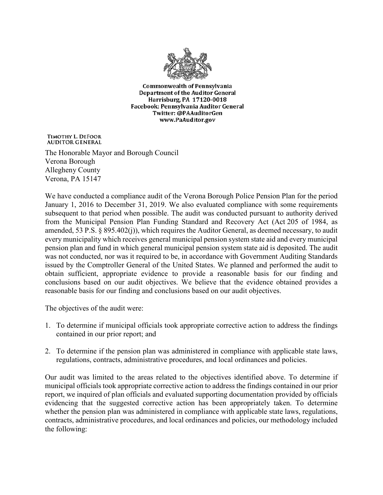

**Commonwealth of Pennsylvania** Department of the Auditor General Harrisburg, PA 17120-0018 Facebook: Pennsylvania Auditor General Twitter: @PAAuditorGen www.PaAuditor.gov

TIMOTHY L. DEFOOR **AUDITOR GENERAL** 

The Honorable Mayor and Borough Council Verona Borough Allegheny County Verona, PA 15147

We have conducted a compliance audit of the Verona Borough Police Pension Plan for the period January 1, 2016 to December 31, 2019. We also evaluated compliance with some requirements subsequent to that period when possible. The audit was conducted pursuant to authority derived from the Municipal Pension Plan Funding Standard and Recovery Act (Act 205 of 1984, as amended, 53 P.S. § 895.402(j)), which requires the Auditor General, as deemed necessary, to audit every municipality which receives general municipal pension system state aid and every municipal pension plan and fund in which general municipal pension system state aid is deposited. The audit was not conducted, nor was it required to be, in accordance with Government Auditing Standards issued by the Comptroller General of the United States. We planned and performed the audit to obtain sufficient, appropriate evidence to provide a reasonable basis for our finding and conclusions based on our audit objectives. We believe that the evidence obtained provides a reasonable basis for our finding and conclusions based on our audit objectives.

The objectives of the audit were:

- 1. To determine if municipal officials took appropriate corrective action to address the findings contained in our prior report; and
- 2. To determine if the pension plan was administered in compliance with applicable state laws, regulations, contracts, administrative procedures, and local ordinances and policies.

Our audit was limited to the areas related to the objectives identified above. To determine if municipal officials took appropriate corrective action to address the findings contained in our prior report, we inquired of plan officials and evaluated supporting documentation provided by officials evidencing that the suggested corrective action has been appropriately taken. To determine whether the pension plan was administered in compliance with applicable state laws, regulations, contracts, administrative procedures, and local ordinances and policies, our methodology included the following: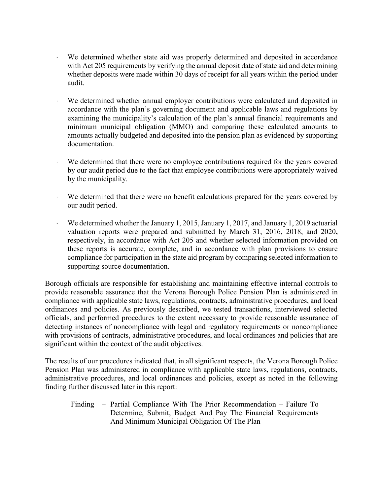- ⋅ We determined whether state aid was properly determined and deposited in accordance with Act 205 requirements by verifying the annual deposit date of state aid and determining whether deposits were made within 30 days of receipt for all years within the period under audit.
- We determined whether annual employer contributions were calculated and deposited in accordance with the plan's governing document and applicable laws and regulations by examining the municipality's calculation of the plan's annual financial requirements and minimum municipal obligation (MMO) and comparing these calculated amounts to amounts actually budgeted and deposited into the pension plan as evidenced by supporting documentation.
- We determined that there were no employee contributions required for the years covered by our audit period due to the fact that employee contributions were appropriately waived by the municipality.
- We determined that there were no benefit calculations prepared for the years covered by our audit period.
- We determined whether the January 1, 2015, January 1, 2017, and January 1, 2019 actuarial valuation reports were prepared and submitted by March 31, 2016, 2018, and 2020**,**  respectively, in accordance with Act 205 and whether selected information provided on these reports is accurate, complete, and in accordance with plan provisions to ensure compliance for participation in the state aid program by comparing selected information to supporting source documentation.

Borough officials are responsible for establishing and maintaining effective internal controls to provide reasonable assurance that the Verona Borough Police Pension Plan is administered in compliance with applicable state laws, regulations, contracts, administrative procedures, and local ordinances and policies. As previously described, we tested transactions, interviewed selected officials, and performed procedures to the extent necessary to provide reasonable assurance of detecting instances of noncompliance with legal and regulatory requirements or noncompliance with provisions of contracts, administrative procedures, and local ordinances and policies that are significant within the context of the audit objectives.

The results of our procedures indicated that, in all significant respects, the Verona Borough Police Pension Plan was administered in compliance with applicable state laws, regulations, contracts, administrative procedures, and local ordinances and policies, except as noted in the following finding further discussed later in this report:

Finding – Partial Compliance With The Prior Recommendation – Failure To Determine, Submit, Budget And Pay The Financial Requirements And Minimum Municipal Obligation Of The Plan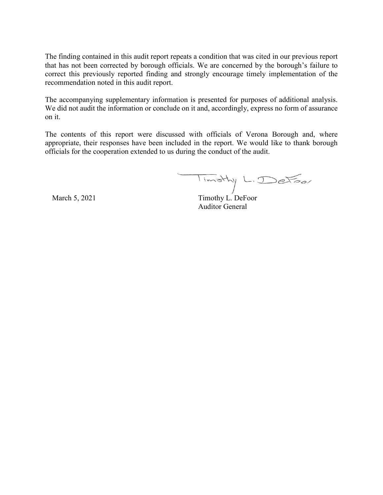The finding contained in this audit report repeats a condition that was cited in our previous report that has not been corrected by borough officials. We are concerned by the borough's failure to correct this previously reported finding and strongly encourage timely implementation of the recommendation noted in this audit report.

The accompanying supplementary information is presented for purposes of additional analysis. We did not audit the information or conclude on it and, accordingly, express no form of assurance on it.

The contents of this report were discussed with officials of Verona Borough and, where appropriate, their responses have been included in the report. We would like to thank borough officials for the cooperation extended to us during the conduct of the audit.

Timothy L. DeFoor

March 5, 2021 Timothy L. DeFoor Auditor General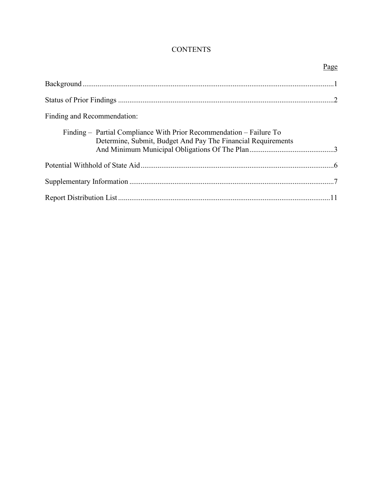## **CONTENTS**

|                                                                                                                                     | Page |
|-------------------------------------------------------------------------------------------------------------------------------------|------|
|                                                                                                                                     |      |
|                                                                                                                                     |      |
| Finding and Recommendation:                                                                                                         |      |
| Finding – Partial Compliance With Prior Recommendation – Failure To<br>Determine, Submit, Budget And Pay The Financial Requirements |      |
|                                                                                                                                     |      |
|                                                                                                                                     |      |
|                                                                                                                                     |      |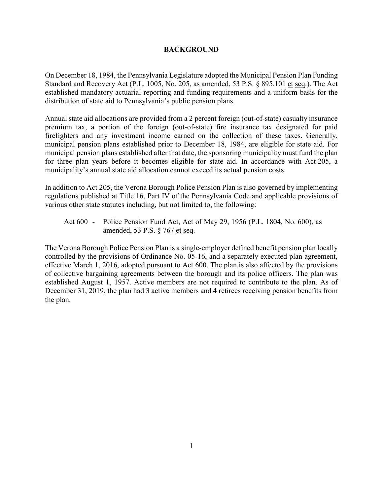#### **BACKGROUND**

On December 18, 1984, the Pennsylvania Legislature adopted the Municipal Pension Plan Funding Standard and Recovery Act (P.L. 1005, No. 205, as amended, 53 P.S. § 895.101 et seq.). The Act established mandatory actuarial reporting and funding requirements and a uniform basis for the distribution of state aid to Pennsylvania's public pension plans.

Annual state aid allocations are provided from a 2 percent foreign (out-of-state) casualty insurance premium tax, a portion of the foreign (out-of-state) fire insurance tax designated for paid firefighters and any investment income earned on the collection of these taxes. Generally, municipal pension plans established prior to December 18, 1984, are eligible for state aid. For municipal pension plans established after that date, the sponsoring municipality must fund the plan for three plan years before it becomes eligible for state aid. In accordance with Act 205, a municipality's annual state aid allocation cannot exceed its actual pension costs.

In addition to Act 205, the Verona Borough Police Pension Plan is also governed by implementing regulations published at Title 16, Part IV of the Pennsylvania Code and applicable provisions of various other state statutes including, but not limited to, the following:

Act 600 - Police Pension Fund Act, Act of May 29, 1956 (P.L. 1804, No. 600), as amended, 53 P.S. § 767 et seq.

The Verona Borough Police Pension Plan is a single-employer defined benefit pension plan locally controlled by the provisions of Ordinance No. 05-16, and a separately executed plan agreement, effective March 1, 2016, adopted pursuant to Act 600. The plan is also affected by the provisions of collective bargaining agreements between the borough and its police officers. The plan was established August 1, 1957. Active members are not required to contribute to the plan. As of December 31, 2019, the plan had 3 active members and 4 retirees receiving pension benefits from the plan.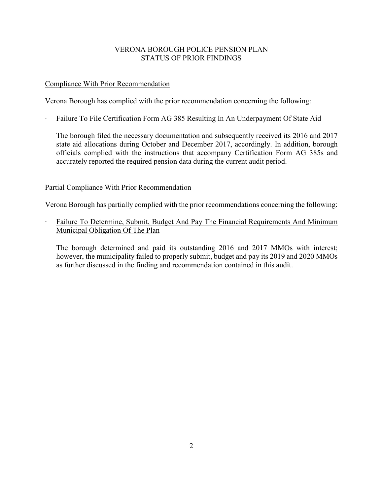## VERONA BOROUGH POLICE PENSION PLAN STATUS OF PRIOR FINDINGS

## Compliance With Prior Recommendation

Verona Borough has complied with the prior recommendation concerning the following:

∙ Failure To File Certification Form AG 385 Resulting In An Underpayment Of State Aid

The borough filed the necessary documentation and subsequently received its 2016 and 2017 state aid allocations during October and December 2017, accordingly. In addition, borough officials complied with the instructions that accompany Certification Form AG 385s and accurately reported the required pension data during the current audit period.

## Partial Compliance With Prior Recommendation

Verona Borough has partially complied with the prior recommendations concerning the following:

∙ Failure To Determine, Submit, Budget And Pay The Financial Requirements And Minimum Municipal Obligation Of The Plan

The borough determined and paid its outstanding 2016 and 2017 MMOs with interest; however, the municipality failed to properly submit, budget and pay its 2019 and 2020 MMOs as further discussed in the finding and recommendation contained in this audit.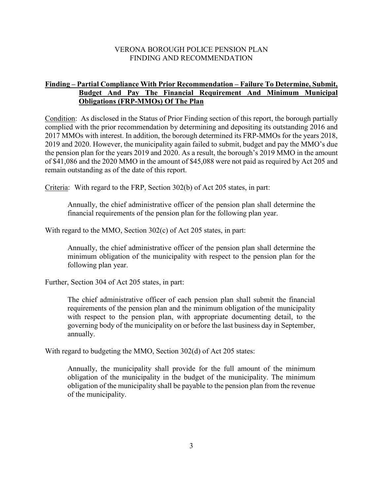#### VERONA BOROUGH POLICE PENSION PLAN FINDING AND RECOMMENDATION

## **Finding – Partial Compliance With Prior Recommendation – Failure To Determine, Submit, Budget And Pay The Financial Requirement And Minimum Municipal Obligations (FRP-MMOs) Of The Plan**

Condition: As disclosed in the Status of Prior Finding section of this report, the borough partially complied with the prior recommendation by determining and depositing its outstanding 2016 and 2017 MMOs with interest. In addition, the borough determined its FRP-MMOs for the years 2018, 2019 and 2020. However, the municipality again failed to submit, budget and pay the MMO's due the pension plan for the years 2019 and 2020. As a result, the borough's 2019 MMO in the amount of \$41,086 and the 2020 MMO in the amount of \$45,088 were not paid as required by Act 205 and remain outstanding as of the date of this report.

Criteria: With regard to the FRP, Section 302(b) of Act 205 states, in part:

Annually, the chief administrative officer of the pension plan shall determine the financial requirements of the pension plan for the following plan year.

With regard to the MMO, Section 302(c) of Act 205 states, in part:

Annually, the chief administrative officer of the pension plan shall determine the minimum obligation of the municipality with respect to the pension plan for the following plan year.

Further, Section 304 of Act 205 states, in part:

The chief administrative officer of each pension plan shall submit the financial requirements of the pension plan and the minimum obligation of the municipality with respect to the pension plan, with appropriate documenting detail, to the governing body of the municipality on or before the last business day in September, annually.

With regard to budgeting the MMO, Section 302(d) of Act 205 states:

Annually, the municipality shall provide for the full amount of the minimum obligation of the municipality in the budget of the municipality. The minimum obligation of the municipality shall be payable to the pension plan from the revenue of the municipality.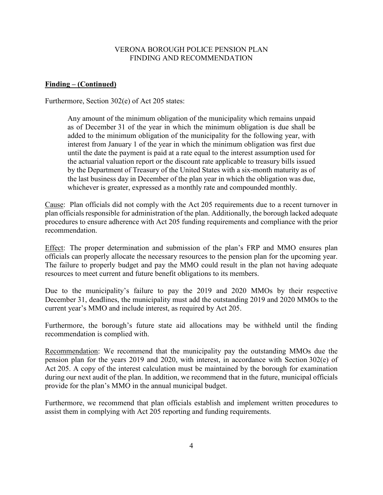#### VERONA BOROUGH POLICE PENSION PLAN FINDING AND RECOMMENDATION

#### **Finding – (Continued)**

Furthermore, Section 302(e) of Act 205 states:

Any amount of the minimum obligation of the municipality which remains unpaid as of December 31 of the year in which the minimum obligation is due shall be added to the minimum obligation of the municipality for the following year, with interest from January 1 of the year in which the minimum obligation was first due until the date the payment is paid at a rate equal to the interest assumption used for the actuarial valuation report or the discount rate applicable to treasury bills issued by the Department of Treasury of the United States with a six-month maturity as of the last business day in December of the plan year in which the obligation was due, whichever is greater, expressed as a monthly rate and compounded monthly.

Cause: Plan officials did not comply with the Act 205 requirements due to a recent turnover in plan officials responsible for administration of the plan. Additionally, the borough lacked adequate procedures to ensure adherence with Act 205 funding requirements and compliance with the prior recommendation.

Effect: The proper determination and submission of the plan's FRP and MMO ensures plan officials can properly allocate the necessary resources to the pension plan for the upcoming year. The failure to properly budget and pay the MMO could result in the plan not having adequate resources to meet current and future benefit obligations to its members.

Due to the municipality's failure to pay the 2019 and 2020 MMOs by their respective December 31, deadlines, the municipality must add the outstanding 2019 and 2020 MMOs to the current year's MMO and include interest, as required by Act 205.

Furthermore, the borough's future state aid allocations may be withheld until the finding recommendation is complied with.

Recommendation: We recommend that the municipality pay the outstanding MMOs due the pension plan for the years 2019 and 2020, with interest, in accordance with Section 302(e) of Act 205. A copy of the interest calculation must be maintained by the borough for examination during our next audit of the plan. In addition, we recommend that in the future, municipal officials provide for the plan's MMO in the annual municipal budget.

Furthermore, we recommend that plan officials establish and implement written procedures to assist them in complying with Act 205 reporting and funding requirements.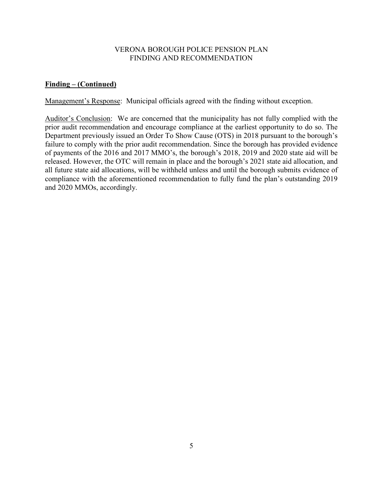#### VERONA BOROUGH POLICE PENSION PLAN FINDING AND RECOMMENDATION

## **Finding – (Continued)**

Management's Response: Municipal officials agreed with the finding without exception.

Auditor's Conclusion: We are concerned that the municipality has not fully complied with the prior audit recommendation and encourage compliance at the earliest opportunity to do so. The Department previously issued an Order To Show Cause (OTS) in 2018 pursuant to the borough's failure to comply with the prior audit recommendation. Since the borough has provided evidence of payments of the 2016 and 2017 MMO's, the borough's 2018, 2019 and 2020 state aid will be released. However, the OTC will remain in place and the borough's 2021 state aid allocation, and all future state aid allocations, will be withheld unless and until the borough submits evidence of compliance with the aforementioned recommendation to fully fund the plan's outstanding 2019 and 2020 MMOs, accordingly.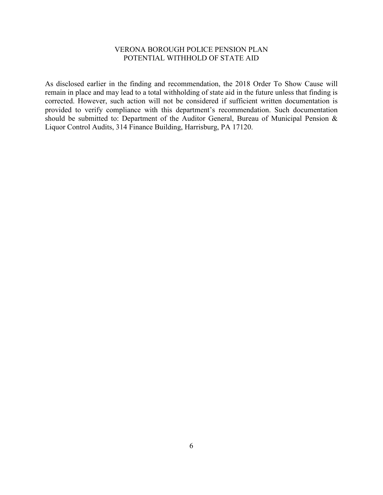#### VERONA BOROUGH POLICE PENSION PLAN POTENTIAL WITHHOLD OF STATE AID

As disclosed earlier in the finding and recommendation, the 2018 Order To Show Cause will remain in place and may lead to a total withholding of state aid in the future unless that finding is corrected. However, such action will not be considered if sufficient written documentation is provided to verify compliance with this department's recommendation. Such documentation should be submitted to: Department of the Auditor General, Bureau of Municipal Pension & Liquor Control Audits, 314 Finance Building, Harrisburg, PA 17120.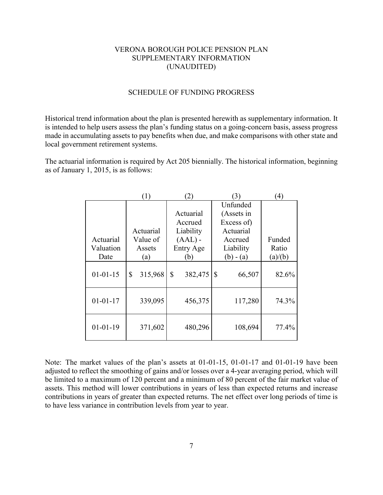#### VERONA BOROUGH POLICE PENSION PLAN SUPPLEMENTARY INFORMATION (UNAUDITED)

#### SCHEDULE OF FUNDING PROGRESS

Historical trend information about the plan is presented herewith as supplementary information. It is intended to help users assess the plan's funding status on a going-concern basis, assess progress made in accumulating assets to pay benefits when due, and make comparisons with other state and local government retirement systems.

The actuarial information is required by Act 205 biennially. The historical information, beginning as of January 1, 2015, is as follows:

|                | $\left(1\right)$ | (2)           | (3)          | $\left( 4\right)$ |
|----------------|------------------|---------------|--------------|-------------------|
|                |                  |               | Unfunded     |                   |
|                |                  | Actuarial     | (Assets in   |                   |
|                |                  | Accrued       | Excess of)   |                   |
|                | Actuarial        | Liability     | Actuarial    |                   |
| Actuarial      | Value of         | $(AAL)$ -     | Accrued      | Funded            |
| Valuation      | Assets           | Entry Age     | Liability    | Ratio             |
| Date           | (a)              | (b)           | $(b) - (a)$  | (a)/(b)           |
| $01 - 01 - 15$ | \$<br>315,968    | \$<br>382,475 | \$<br>66,507 | 82.6%             |
| $01 - 01 - 17$ | 339,095          | 456,375       | 117,280      | 74.3%             |
| $01 - 01 - 19$ | 371,602          | 480,296       | 108,694      | 77.4%             |

Note: The market values of the plan's assets at 01-01-15, 01-01-17 and 01-01-19 have been adjusted to reflect the smoothing of gains and/or losses over a 4-year averaging period, which will be limited to a maximum of 120 percent and a minimum of 80 percent of the fair market value of assets. This method will lower contributions in years of less than expected returns and increase contributions in years of greater than expected returns. The net effect over long periods of time is to have less variance in contribution levels from year to year.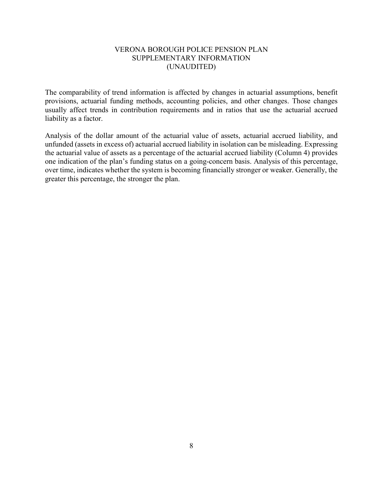#### VERONA BOROUGH POLICE PENSION PLAN SUPPLEMENTARY INFORMATION (UNAUDITED)

The comparability of trend information is affected by changes in actuarial assumptions, benefit provisions, actuarial funding methods, accounting policies, and other changes. Those changes usually affect trends in contribution requirements and in ratios that use the actuarial accrued liability as a factor.

Analysis of the dollar amount of the actuarial value of assets, actuarial accrued liability, and unfunded (assets in excess of) actuarial accrued liability in isolation can be misleading. Expressing the actuarial value of assets as a percentage of the actuarial accrued liability (Column 4) provides one indication of the plan's funding status on a going-concern basis. Analysis of this percentage, over time, indicates whether the system is becoming financially stronger or weaker. Generally, the greater this percentage, the stronger the plan.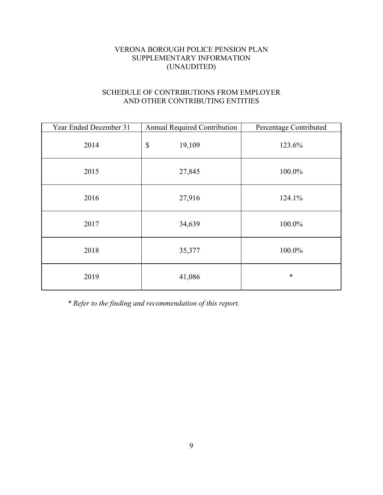## VERONA BOROUGH POLICE PENSION PLAN SUPPLEMENTARY INFORMATION (UNAUDITED)

## SCHEDULE OF CONTRIBUTIONS FROM EMPLOYER AND OTHER CONTRIBUTING ENTITIES

| Year Ended December 31 | <b>Annual Required Contribution</b> | Percentage Contributed |
|------------------------|-------------------------------------|------------------------|
| 2014                   | \$<br>19,109                        | 123.6%                 |
| 2015                   | 27,845                              | 100.0%                 |
| 2016                   | 27,916                              | 124.1%                 |
| 2017                   | 34,639                              | 100.0%                 |
| 2018                   | 35,377                              | 100.0%                 |
| 2019                   | 41,086                              | $\ast$                 |

*\* Refer to the finding and recommendation of this report.*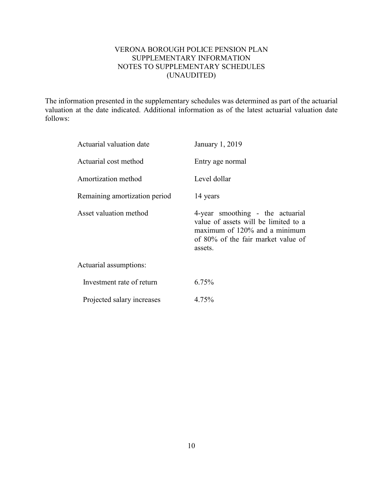## VERONA BOROUGH POLICE PENSION PLAN SUPPLEMENTARY INFORMATION NOTES TO SUPPLEMENTARY SCHEDULES (UNAUDITED)

The information presented in the supplementary schedules was determined as part of the actuarial valuation at the date indicated. Additional information as of the latest actuarial valuation date follows:

| Actuarial valuation date      | January 1, 2019                                                                                                                                            |
|-------------------------------|------------------------------------------------------------------------------------------------------------------------------------------------------------|
| Actuarial cost method         | Entry age normal                                                                                                                                           |
| Amortization method           | Level dollar                                                                                                                                               |
| Remaining amortization period | 14 years                                                                                                                                                   |
| Asset valuation method        | 4-year smoothing - the actuarial<br>value of assets will be limited to a<br>maximum of 120% and a minimum<br>of 80% of the fair market value of<br>assets. |
| Actuarial assumptions:        |                                                                                                                                                            |
| Investment rate of return     | 6.75%                                                                                                                                                      |
| Projected salary increases    | 4.75%                                                                                                                                                      |